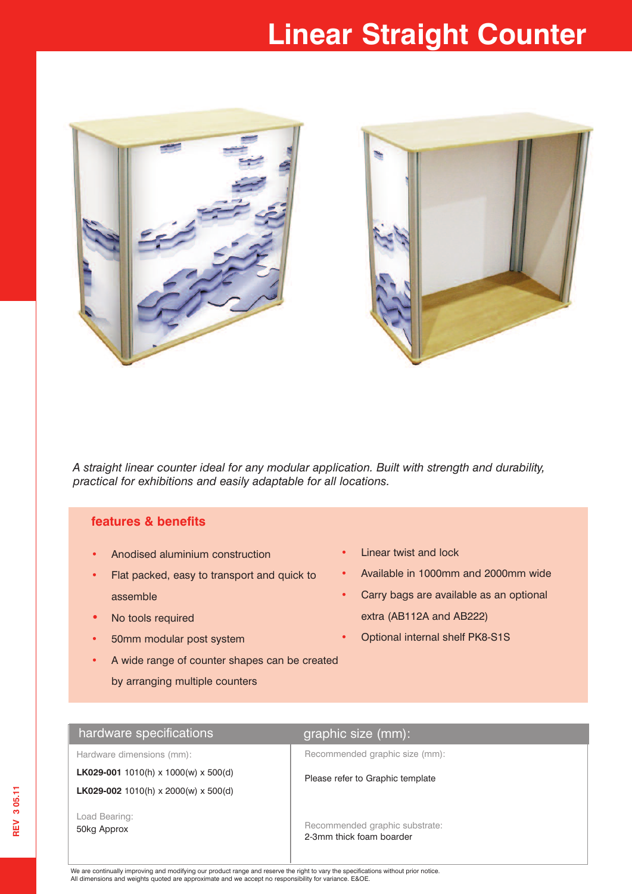# **Linear Straight Counter**



*A straight linear counter ideal for any modular application. Built with strength and durability, practical for exhibitions and easily adaptable for all locations.*

## **features & benefits**

- **•** Anodised aluminium construction
- **•** Flat packed, easy to transport and quick to assemble
- **•** No tools required
- **•** 50mm modular post system

**•** Available in 1000mm and 2000mm wide

**•** Linear twist and lock

- **•** Carry bags are available as an optional extra (AB112A and AB222)
- **•** Optional internal shelf PK8-S1S
- **•** A wide range of counter shapes can be created by arranging multiple counters

## hardware specifications **graphic size** (mm):

Hardware dimensions (mm):

**LK029-001** 1010(h) x 1000(w) x 500(d) **LK029-002** 1010(h) x 2000(w) x 500(d)

Load Bearing: 50kg Approx

Recommended graphic size (mm):

Please refer to Graphic template

Recommended graphic substrate: 2-3mm thick foam boarder

We are continually improving and modifying our product range and reserve the right to vary the specifications without prior notice. All dimensions and weights quoted are approximate and we accept no responsibility for variance. E&OE.